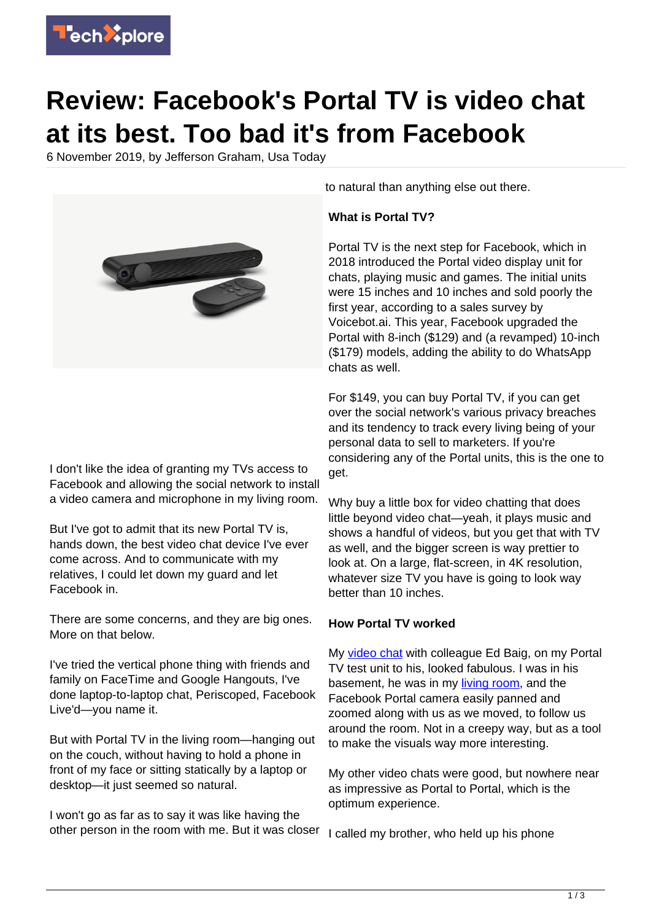

# **Review: Facebook's Portal TV is video chat at its best. Too bad it's from Facebook**

6 November 2019, by Jefferson Graham, Usa Today



I don't like the idea of granting my TVs access to Facebook and allowing the social network to install a video camera and microphone in my living room.

But I've got to admit that its new Portal TV is, hands down, the best video chat device I've ever come across. And to communicate with my relatives, I could let down my guard and let Facebook in.

There are some concerns, and they are big ones. More on that below.

I've tried the vertical phone thing with friends and family on FaceTime and Google Hangouts, I've done laptop-to-laptop chat, Periscoped, Facebook Live'd—you name it.

But with Portal TV in the living room—hanging out on the couch, without having to hold a phone in front of my face or sitting statically by a laptop or desktop—it just seemed so natural.

I won't go as far as to say it was like having the other person in the room with me. But it was closer

to natural than anything else out there.

## **What is Portal TV?**

Portal TV is the next step for Facebook, which in 2018 introduced the Portal video display unit for chats, playing music and games. The initial units were 15 inches and 10 inches and sold poorly the first year, according to a sales survey by Voicebot.ai. This year, Facebook upgraded the Portal with 8-inch (\$129) and (a revamped) 10-inch (\$179) models, adding the ability to do WhatsApp chats as well.

For \$149, you can buy Portal TV, if you can get over the social network's various privacy breaches and its tendency to track every living being of your personal data to sell to marketers. If you're considering any of the Portal units, this is the one to get.

Why buy a little box for video chatting that does little beyond video chat—yeah, it plays music and shows a handful of videos, but you get that with TV as well, and the bigger screen is way prettier to look at. On a large, flat-screen, in 4K resolution, whatever size TV you have is going to look way better than 10 inches.

### **How Portal TV worked**

My [video chat](https://techxplore.com/tags/video+chat/) with colleague Ed Baig, on my Portal TV test unit to his, looked fabulous. I was in his basement, he was in my [living room](https://techxplore.com/tags/living+room/), and the Facebook Portal camera easily panned and zoomed along with us as we moved, to follow us around the room. Not in a creepy way, but as a tool to make the visuals way more interesting.

My other video chats were good, but nowhere near as impressive as Portal to Portal, which is the optimum experience.

I called my brother, who held up his phone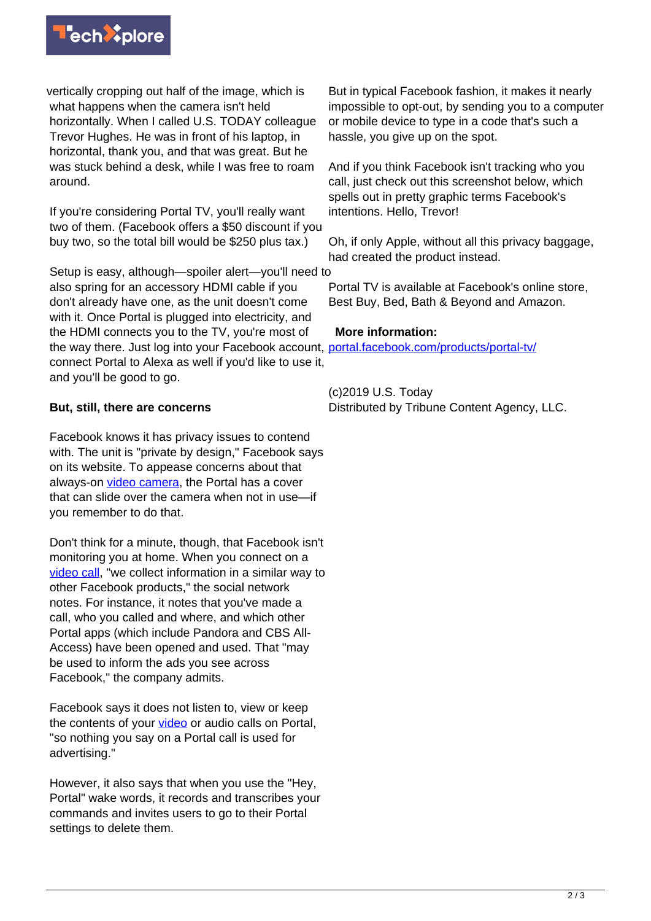

vertically cropping out half of the image, which is what happens when the camera isn't held horizontally. When I called U.S. TODAY colleague Trevor Hughes. He was in front of his laptop, in horizontal, thank you, and that was great. But he was stuck behind a desk, while I was free to roam around.

If you're considering Portal TV, you'll really want two of them. (Facebook offers a \$50 discount if you buy two, so the total bill would be \$250 plus tax.)

Setup is easy, although—spoiler alert—you'll need to also spring for an accessory HDMI cable if you don't already have one, as the unit doesn't come with it. Once Portal is plugged into electricity, and the HDMI connects you to the TV, you're most of the way there. Just log into your Facebook account, [portal.facebook.com/products/portal-tv/](https://portal.facebook.com/products/portal-tv/) connect Portal to Alexa as well if you'd like to use it, and you'll be good to go.

## **But, still, there are concerns**

Facebook knows it has privacy issues to contend with. The unit is "private by design," Facebook says on its website. To appease concerns about that always-on [video camera,](https://techxplore.com/tags/video+camera/) the Portal has a cover that can slide over the camera when not in use—if you remember to do that.

Don't think for a minute, though, that Facebook isn't monitoring you at home. When you connect on a [video call](https://techxplore.com/tags/video+call/), "we collect information in a similar way to other Facebook products," the social network notes. For instance, it notes that you've made a call, who you called and where, and which other Portal apps (which include Pandora and CBS All-Access) have been opened and used. That "may be used to inform the ads you see across Facebook," the company admits.

Facebook says it does not listen to, view or keep the contents of your [video](https://techxplore.com/tags/video/) or audio calls on Portal, "so nothing you say on a Portal call is used for advertising."

However, it also says that when you use the "Hey, Portal" wake words, it records and transcribes your commands and invites users to go to their Portal settings to delete them.

But in typical Facebook fashion, it makes it nearly impossible to opt-out, by sending you to a computer or mobile device to type in a code that's such a hassle, you give up on the spot.

And if you think Facebook isn't tracking who you call, just check out this screenshot below, which spells out in pretty graphic terms Facebook's intentions. Hello, Trevor!

Oh, if only Apple, without all this privacy baggage, had created the product instead.

Portal TV is available at Facebook's online store, Best Buy, Bed, Bath & Beyond and Amazon.

#### **More information:**

(c)2019 U.S. Today Distributed by Tribune Content Agency, LLC.